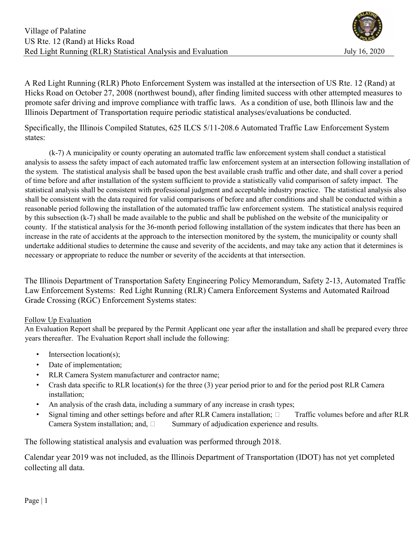

A Red Light Running (RLR) Photo Enforcement System was installed at the intersection of US Rte. 12 (Rand) at Hicks Road on October 27, 2008 (northwest bound), after finding limited success with other attempted measures to promote safer driving and improve compliance with traffic laws. As a condition of use, both Illinois law and the Illinois Department of Transportation require periodic statistical analyses/evaluations be conducted.

Specifically, the Illinois Compiled Statutes, 625 ILCS 5/11-208.6 Automated Traffic Law Enforcement System states:

 (k-7) A municipality or county operating an automated traffic law enforcement system shall conduct a statistical analysis to assess the safety impact of each automated traffic law enforcement system at an intersection following installation of the system. The statistical analysis shall be based upon the best available crash traffic and other date, and shall cover a period of time before and after installation of the system sufficient to provide a statistically valid comparison of safety impact. The statistical analysis shall be consistent with professional judgment and acceptable industry practice. The statistical analysis also shall be consistent with the data required for valid comparisons of before and after conditions and shall be conducted within a reasonable period following the installation of the automated traffic law enforcement system. The statistical analysis required by this subsection (k-7) shall be made available to the public and shall be published on the website of the municipality or county. If the statistical analysis for the 36-month period following installation of the system indicates that there has been an increase in the rate of accidents at the approach to the intersection monitored by the system, the municipality or county shall undertake additional studies to determine the cause and severity of the accidents, and may take any action that it determines is necessary or appropriate to reduce the number or severity of the accidents at that intersection.

The Illinois Department of Transportation Safety Engineering Policy Memorandum, Safety 2-13, Automated Traffic Law Enforcement Systems: Red Light Running (RLR) Camera Enforcement Systems and Automated Railroad Grade Crossing (RGC) Enforcement Systems states:

### Follow Up Evaluation

An Evaluation Report shall be prepared by the Permit Applicant one year after the installation and shall be prepared every three years thereafter. The Evaluation Report shall include the following:

- Intersection location(s);
- Date of implementation;
- RLR Camera System manufacturer and contractor name;
- Crash data specific to RLR location(s) for the three (3) year period prior to and for the period post RLR Camera installation;
- An analysis of the crash data, including a summary of any increase in crash types;
- Signal timing and other settings before and after RLR Camera installation;  $\Box$  Traffic volumes before and after RLR Camera System installation; and,  $\square$  Summary of adjudication experience and results.

The following statistical analysis and evaluation was performed through 2018.

Calendar year 2019 was not included, as the Illinois Department of Transportation (IDOT) has not yet completed collecting all data.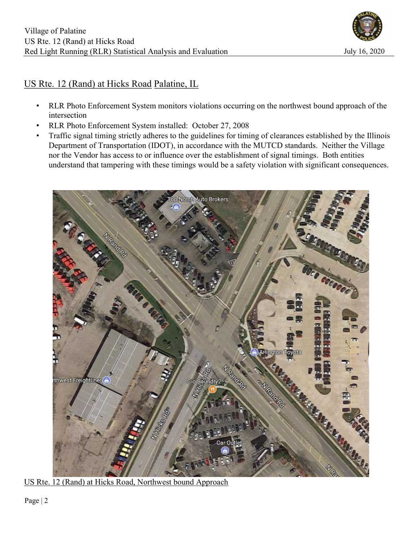

# US Rte. 12 (Rand) at Hicks Road Palatine, IL

- RLR Photo Enforcement System monitors violations occurring on the northwest bound approach of the intersection
- RLR Photo Enforcement System installed: October 27, 2008
- Traffic signal timing strictly adheres to the guidelines for timing of clearances established by the Illinois Department of Transportation (IDOT), in accordance with the MUTCD standards. Neither the Village nor the Vendor has access to or influence over the establishment of signal timings. Both entities understand that tampering with these timings would be a safety violation with significant consequences.



US Rte. 12 (Rand) at Hicks Road, Northwest bound Approach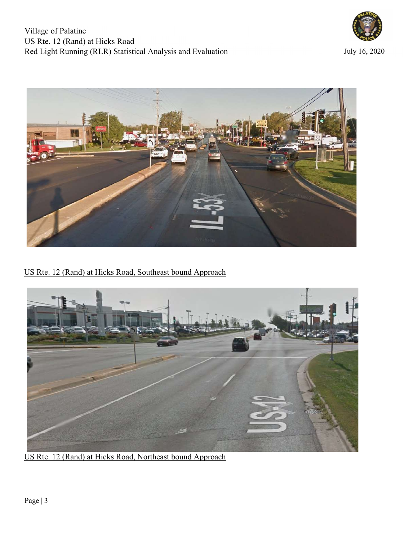



US Rte. 12 (Rand) at Hicks Road, Southeast bound Approach



US Rte. 12 (Rand) at Hicks Road, Northeast bound Approach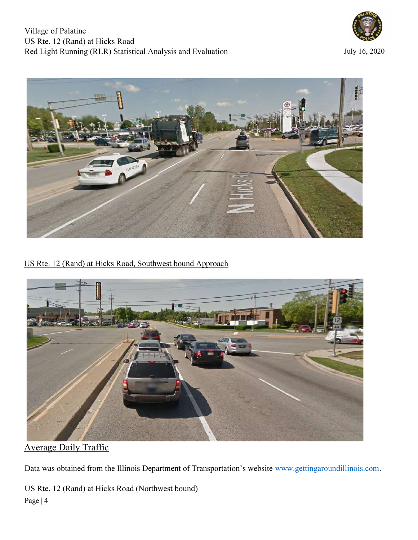



US Rte. 12 (Rand) at Hicks Road, Southwest bound Approach



Average Daily Traffic

Data was obtained from the Illinois Department of Transportation's website www.gettingaroundillinois.com.

Page | 4 US Rte. 12 (Rand) at Hicks Road (Northwest bound)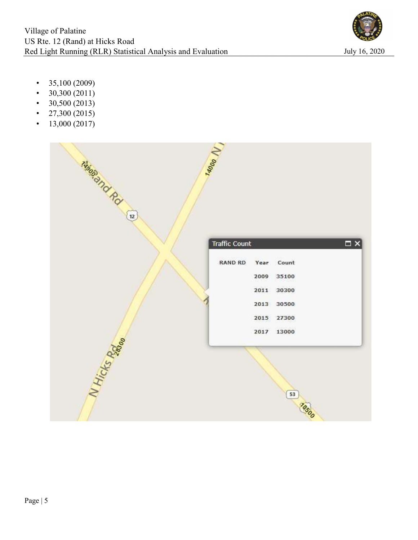

- $35,100 (2009)$
- $30,300(2011)$
- $30,500 (2013)$
- 27,300 (2015)
- $13,000 (2017)$

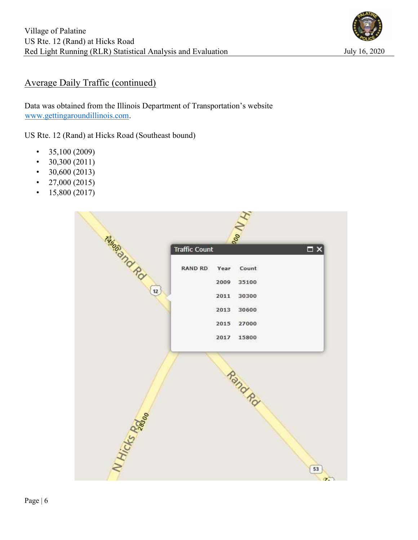

# Average Daily Traffic (continued)

Data was obtained from the Illinois Department of Transportation's website www.gettingaroundillinois.com.

US Rte. 12 (Rand) at Hicks Road (Southeast bound)

- $\cdot$  35,100 (2009)
- $30,300(2011)$
- $30,600(2013)$
- 27,000 (2015)
- $15,800 (2017)$

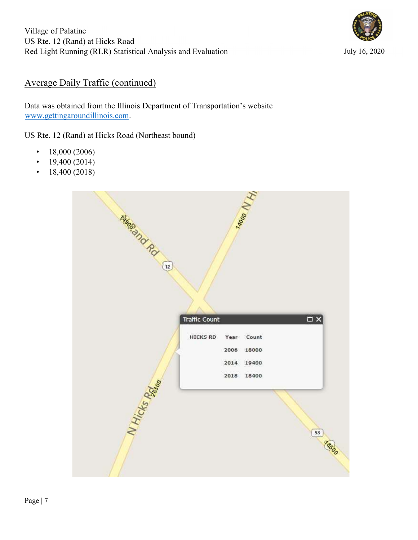

# Average Daily Traffic (continued)

Data was obtained from the Illinois Department of Transportation's website www.gettingaroundillinois.com.

US Rte. 12 (Rand) at Hicks Road (Northeast bound)

- $18,000 (2006)$
- $19,400 (2014)$
- $18,400 (2018)$

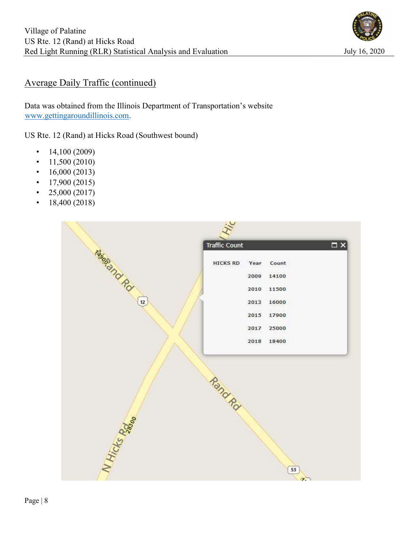

# Average Daily Traffic (continued)

Data was obtained from the Illinois Department of Transportation's website www.gettingaroundillinois.com.

US Rte. 12 (Rand) at Hicks Road (Southwest bound)

- $14,100 (2009)$
- $11,500 (2010)$
- $16,000 (2013)$
- $\cdot$  17,900 (2015)
- 25,000 (2017)
- $18,400 (2018)$

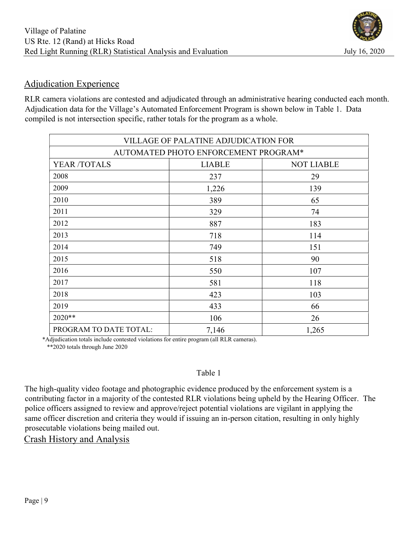# Adjudication Experience

RLR camera violations are contested and adjudicated through an administrative hearing conducted each month. Adjudication data for the Village's Automated Enforcement Program is shown below in Table 1. Data compiled is not intersection specific, rather totals for the program as a whole.

| VILLAGE OF PALATINE ADJUDICATION FOR |               |                   |  |  |  |  |  |  |  |
|--------------------------------------|---------------|-------------------|--|--|--|--|--|--|--|
| AUTOMATED PHOTO ENFORCEMENT PROGRAM* |               |                   |  |  |  |  |  |  |  |
| YEAR /TOTALS                         | <b>LIABLE</b> | <b>NOT LIABLE</b> |  |  |  |  |  |  |  |
| 2008                                 | 237           | 29                |  |  |  |  |  |  |  |
| 2009                                 | 1,226         | 139               |  |  |  |  |  |  |  |
| 2010                                 | 389           | 65                |  |  |  |  |  |  |  |
| 2011                                 | 329           | 74                |  |  |  |  |  |  |  |
| 2012                                 | 887           | 183               |  |  |  |  |  |  |  |
| 2013                                 | 718           | 114               |  |  |  |  |  |  |  |
| 2014                                 | 749           | 151               |  |  |  |  |  |  |  |
| 2015                                 | 518           | 90                |  |  |  |  |  |  |  |
| 2016                                 | 550           | 107               |  |  |  |  |  |  |  |
| 2017                                 | 581           | 118               |  |  |  |  |  |  |  |
| 2018                                 | 423           | 103               |  |  |  |  |  |  |  |
| 2019                                 | 433           | 66                |  |  |  |  |  |  |  |
| 2020**                               | 106           | 26                |  |  |  |  |  |  |  |
| PROGRAM TO DATE TOTAL:               | 7,146         | 1,265             |  |  |  |  |  |  |  |

 \*Adjudication totals include contested violations for entire program (all RLR cameras). \*\*2020 totals through June 2020

## Table 1

The high-quality video footage and photographic evidence produced by the enforcement system is a contributing factor in a majority of the contested RLR violations being upheld by the Hearing Officer. The police officers assigned to review and approve/reject potential violations are vigilant in applying the same officer discretion and criteria they would if issuing an in-person citation, resulting in only highly prosecutable violations being mailed out.

Crash History and Analysis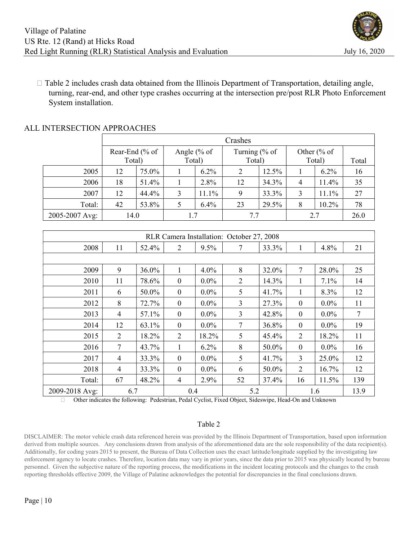

 $\Box$  Table 2 includes crash data obtained from the Illinois Department of Transportation, detailing angle, turning, rear-end, and other type crashes occurring at the intersection pre/post RLR Photo Enforcement System installation.

|                | Crashes        |       |              |         |                |       |              |         |       |
|----------------|----------------|-------|--------------|---------|----------------|-------|--------------|---------|-------|
|                | Rear-End (% of |       | Angle $% of$ |         | Turning $% of$ |       | Other $% of$ |         |       |
|                | Total)         |       | Total)       |         | Total)         |       | Total)       |         | Total |
| 2005           | 12             | 75.0% |              | $6.2\%$ | 2              | 12.5% |              | $6.2\%$ | 16    |
| 2006           | 18             | 51.4% |              | 2.8%    | 12             | 34.3% | 4            | 11.4%   | 35    |
| 2007           | 12             | 44.4% | 3            | 11.1%   | 9              | 33.3% | 3            | $1.1\%$ | 27    |
| Total:         | 42             | 53.8% |              | 6.4%    | 23             | 29.5% | 8            | 10.2%   | 78    |
| 2005-2007 Avg: | 14.0           |       |              |         |                |       |              | 26.0    |       |

## ALL INTERSECTION APPROACHES

| RLR Camera Installation: October 27, 2008 |                |       |                  |         |                |       |                  |         |        |
|-------------------------------------------|----------------|-------|------------------|---------|----------------|-------|------------------|---------|--------|
| 2008                                      | 11             | 52.4% | $\overline{2}$   | 9.5%    | 7              | 33.3% | 1                | 4.8%    | 21     |
|                                           |                |       |                  |         |                |       |                  |         |        |
| 2009                                      | 9              | 36.0% |                  | 4.0%    | 8              | 32.0% | 7                | 28.0%   | 25     |
| 2010                                      | 11             | 78.6% | $\boldsymbol{0}$ | $0.0\%$ | $\overline{2}$ | 14.3% | 1                | 7.1%    | 14     |
| 2011                                      | 6              | 50.0% | $\boldsymbol{0}$ | $0.0\%$ | 5              | 41.7% | 1                | 8.3%    | 12     |
| 2012                                      | 8              | 72.7% | $\boldsymbol{0}$ | $0.0\%$ | 3              | 27.3% | $\boldsymbol{0}$ | $0.0\%$ | 11     |
| 2013                                      | $\overline{4}$ | 57.1% | $\mathbf{0}$     | $0.0\%$ | 3              | 42.8% | $\mathbf{0}$     | $0.0\%$ | $\tau$ |
| 2014                                      | 12             | 63.1% | $\boldsymbol{0}$ | $0.0\%$ | 7              | 36.8% | $\boldsymbol{0}$ | $0.0\%$ | 19     |
| 2015                                      | 2              | 18.2% | 2                | 18.2%   | 5              | 45.4% | 2                | 18.2%   | 11     |
| 2016                                      | $\overline{7}$ | 43.7% | 1                | 6.2%    | 8              | 50.0% | $\boldsymbol{0}$ | $0.0\%$ | 16     |
| 2017                                      | 4              | 33.3% | $\mathbf{0}$     | $0.0\%$ | 5              | 41.7% | 3                | 25.0%   | 12     |
| 2018                                      | 4              | 33.3% | $\boldsymbol{0}$ | $0.0\%$ | 6              | 50.0% | $\overline{2}$   | 16.7%   | 12     |
| Total:                                    | 67             | 48.2% | 4                | 2.9%    | 52             | 37.4% | 16               | 11.5%   | 139    |
| 2009-2018 Avg:                            | 6.7            |       | 0.4              |         | 5.2            |       | 1.6              |         | 13.9   |

Other indicates the following: Pedestrian, Pedal Cyclist, Fixed Object, Sideswipe, Head-On and Unknown

#### Table 2

DISCLAIMER: The motor vehicle crash data referenced herein was provided by the Illinois Department of Transportation, based upon information derived from multiple sources. Any conclusions drawn from analysis of the aforementioned data are the sole responsibility of the data recipient(s). Additionally, for coding years 2015 to present, the Bureau of Data Collection uses the exact latitude/longitude supplied by the investigating law enforcement agency to locate crashes. Therefore, location data may vary in prior years, since the data prior to 2015 was physically located by bureau personnel. Given the subjective nature of the reporting process, the modifications in the incident locating protocols and the changes to the crash reporting thresholds effective 2009, the Village of Palatine acknowledges the potential for discrepancies in the final conclusions drawn.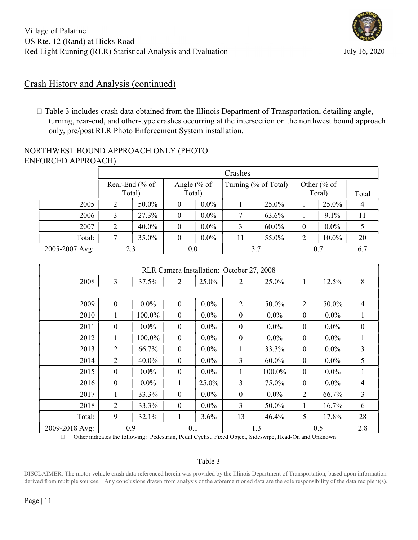## Crash History and Analysis (continued)

 $\Box$  Table 3 includes crash data obtained from the Illinois Department of Transportation, detailing angle, turning, rear-end, and other-type crashes occurring at the intersection on the northwest bound approach only, pre/post RLR Photo Enforcement System installation.

## NORTHWEST BOUND APPROACH ONLY (PHOTO ENFORCED APPROACH)

|                | Crashes        |                |              |         |                      |          |              |         |       |  |
|----------------|----------------|----------------|--------------|---------|----------------------|----------|--------------|---------|-------|--|
|                |                | Rear-End (% of | Angle $% of$ |         | Turning (% of Total) |          | Other $% of$ |         |       |  |
|                |                | Total)         | Total)       |         |                      |          | Total)       |         | Total |  |
| 2005           | $\overline{2}$ | 50.0%          | $\theta$     | $0.0\%$ |                      | 25.0%    |              | 25.0%   |       |  |
| 2006           | 3              | 27.3%          | $\theta$     | $0.0\%$ |                      | 63.6%    |              | 9.1%    | 11    |  |
| 2007           | 2              | 40.0%          | $\theta$     | $0.0\%$ |                      | $60.0\%$ | $\theta$     | $0.0\%$ |       |  |
| Total:         |                | 35.0%          | $\theta$     | $0.0\%$ | 11                   | 55.0%    | 2            | 10.0%   | 20    |  |
| 2005-2007 Avg: |                | 2.3            | 0.0          |         | 3.7                  |          | 0.7          |         | 6.7   |  |

| RLR Camera Installation: October 27, 2008 |                  |         |                  |         |                  |          |                  |         |                  |
|-------------------------------------------|------------------|---------|------------------|---------|------------------|----------|------------------|---------|------------------|
| 2008                                      | 3                | 37.5%   | $\overline{2}$   | 25.0%   | $\overline{2}$   | 25.0%    | 1                | 12.5%   | 8                |
|                                           |                  |         |                  |         |                  |          |                  |         |                  |
| 2009                                      | $\mathbf{0}$     | $0.0\%$ | $\mathbf{0}$     | $0.0\%$ | $\overline{2}$   | 50.0%    | $\overline{2}$   | 50.0%   | $\overline{4}$   |
| 2010                                      | 1                | 100.0%  | $\boldsymbol{0}$ | $0.0\%$ | $\boldsymbol{0}$ | $0.0\%$  | $\boldsymbol{0}$ | $0.0\%$ | 1                |
| 2011                                      | $\boldsymbol{0}$ | $0.0\%$ | $\boldsymbol{0}$ | $0.0\%$ | $\boldsymbol{0}$ | $0.0\%$  | $\mathbf{0}$     | $0.0\%$ | $\boldsymbol{0}$ |
| 2012                                      | 1                | 100.0%  | $\mathbf{0}$     | $0.0\%$ | $\boldsymbol{0}$ | $0.0\%$  | $\mathbf{0}$     | $0.0\%$ | 1                |
| 2013                                      | $\overline{2}$   | 66.7%   | $\boldsymbol{0}$ | $0.0\%$ | 1                | 33.3%    | $\mathbf{0}$     | $0.0\%$ | 3                |
| 2014                                      | $\overline{2}$   | 40.0%   | $\mathbf{0}$     | $0.0\%$ | 3                | $60.0\%$ | $\boldsymbol{0}$ | $0.0\%$ | 5                |
| 2015                                      | $\boldsymbol{0}$ | $0.0\%$ | $\boldsymbol{0}$ | $0.0\%$ |                  | 100.0%   | $\boldsymbol{0}$ | $0.0\%$ | 1                |
| 2016                                      | $\boldsymbol{0}$ | $0.0\%$ |                  | 25.0%   | 3                | 75.0%    | $\mathbf{0}$     | $0.0\%$ | 4                |
| 2017                                      |                  | 33.3%   | $\boldsymbol{0}$ | $0.0\%$ | $\boldsymbol{0}$ | $0.0\%$  | 2                | 66.7%   | $\overline{3}$   |
| 2018                                      | 2                | 33.3%   | $\mathbf{0}$     | $0.0\%$ | 3                | 50.0%    | 1                | 16.7%   | 6                |
| Total:                                    | 9                | 32.1%   | 1                | 3.6%    | 13               | 46.4%    | 5                | 17.8%   | 28               |
| 2009-2018 Avg:                            | 0.9              |         | 0.1              |         | 1.3              |          | 0.5              |         | 2.8              |

Other indicates the following: Pedestrian, Pedal Cyclist, Fixed Object, Sideswipe, Head-On and Unknown

### Table 3

DISCLAIMER: The motor vehicle crash data referenced herein was provided by the Illinois Department of Transportation, based upon information derived from multiple sources. Any conclusions drawn from analysis of the aforementioned data are the sole responsibility of the data recipient(s).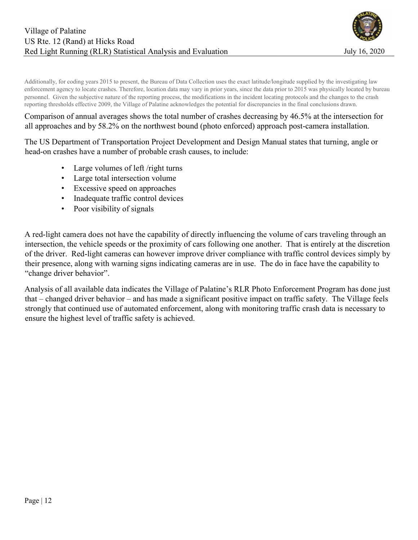

Additionally, for coding years 2015 to present, the Bureau of Data Collection uses the exact latitude/longitude supplied by the investigating law enforcement agency to locate crashes. Therefore, location data may vary in prior years, since the data prior to 2015 was physically located by bureau personnel. Given the subjective nature of the reporting process, the modifications in the incident locating protocols and the changes to the crash reporting thresholds effective 2009, the Village of Palatine acknowledges the potential for discrepancies in the final conclusions drawn.

Comparison of annual averages shows the total number of crashes decreasing by 46.5% at the intersection for all approaches and by 58.2% on the northwest bound (photo enforced) approach post-camera installation.

The US Department of Transportation Project Development and Design Manual states that turning, angle or head-on crashes have a number of probable crash causes, to include:

- Large volumes of left /right turns
- Large total intersection volume
- Excessive speed on approaches
- Inadequate traffic control devices
- Poor visibility of signals

A red-light camera does not have the capability of directly influencing the volume of cars traveling through an intersection, the vehicle speeds or the proximity of cars following one another. That is entirely at the discretion of the driver. Red-light cameras can however improve driver compliance with traffic control devices simply by their presence, along with warning signs indicating cameras are in use. The do in face have the capability to "change driver behavior".

Analysis of all available data indicates the Village of Palatine's RLR Photo Enforcement Program has done just that – changed driver behavior – and has made a significant positive impact on traffic safety. The Village feels strongly that continued use of automated enforcement, along with monitoring traffic crash data is necessary to ensure the highest level of traffic safety is achieved.